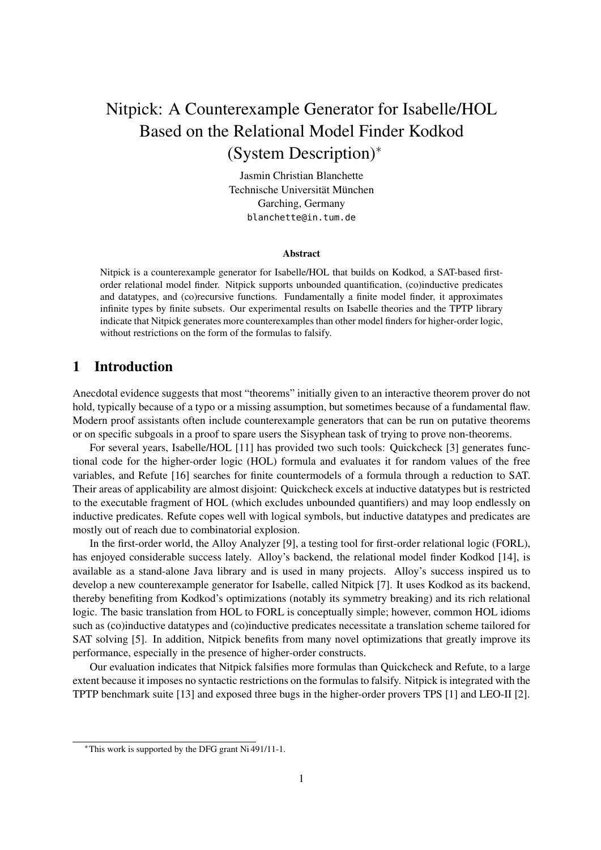# Nitpick: A Counterexample Generator for Isabelle/HOL Based on the Relational Model Finder Kodkod (System Description)<sup>∗</sup>

Jasmin Christian Blanchette Technische Universität München Garching, Germany blanchette@in.tum.de

#### Abstract

Nitpick is a counterexample generator for Isabelle/HOL that builds on Kodkod, a SAT-based firstorder relational model finder. Nitpick supports unbounded quantification, (co)inductive predicates and datatypes, and (co)recursive functions. Fundamentally a finite model finder, it approximates infinite types by finite subsets. Our experimental results on Isabelle theories and the TPTP library indicate that Nitpick generates more counterexamples than other model finders for higher-order logic, without restrictions on the form of the formulas to falsify.

## 1 Introduction

Anecdotal evidence suggests that most "theorems" initially given to an interactive theorem prover do not hold, typically because of a typo or a missing assumption, but sometimes because of a fundamental flaw. Modern proof assistants often include counterexample generators that can be run on putative theorems or on specific subgoals in a proof to spare users the Sisyphean task of trying to prove non-theorems.

For several years, Isabelle/HOL [11] has provided two such tools: Quickcheck [3] generates functional code for the higher-order logic (HOL) formula and evaluates it for random values of the free variables, and Refute [16] searches for finite countermodels of a formula through a reduction to SAT. Their areas of applicability are almost disjoint: Quickcheck excels at inductive datatypes but is restricted to the executable fragment of HOL (which excludes unbounded quantifiers) and may loop endlessly on inductive predicates. Refute copes well with logical symbols, but inductive datatypes and predicates are mostly out of reach due to combinatorial explosion.

In the first-order world, the Alloy Analyzer [9], a testing tool for first-order relational logic (FORL), has enjoyed considerable success lately. Alloy's backend, the relational model finder Kodkod [14], is available as a stand-alone Java library and is used in many projects. Alloy's success inspired us to develop a new counterexample generator for Isabelle, called Nitpick [7]. It uses Kodkod as its backend, thereby benefiting from Kodkod's optimizations (notably its symmetry breaking) and its rich relational logic. The basic translation from HOL to FORL is conceptually simple; however, common HOL idioms such as (co)inductive datatypes and (co)inductive predicates necessitate a translation scheme tailored for SAT solving [5]. In addition, Nitpick benefits from many novel optimizations that greatly improve its performance, especially in the presence of higher-order constructs.

Our evaluation indicates that Nitpick falsifies more formulas than Quickcheck and Refute, to a large extent because it imposes no syntactic restrictions on the formulas to falsify. Nitpick is integrated with the TPTP benchmark suite [13] and exposed three bugs in the higher-order provers TPS [1] and LEO-II [2].

<sup>∗</sup>This work is supported by the DFG grant Ni 491/11-1.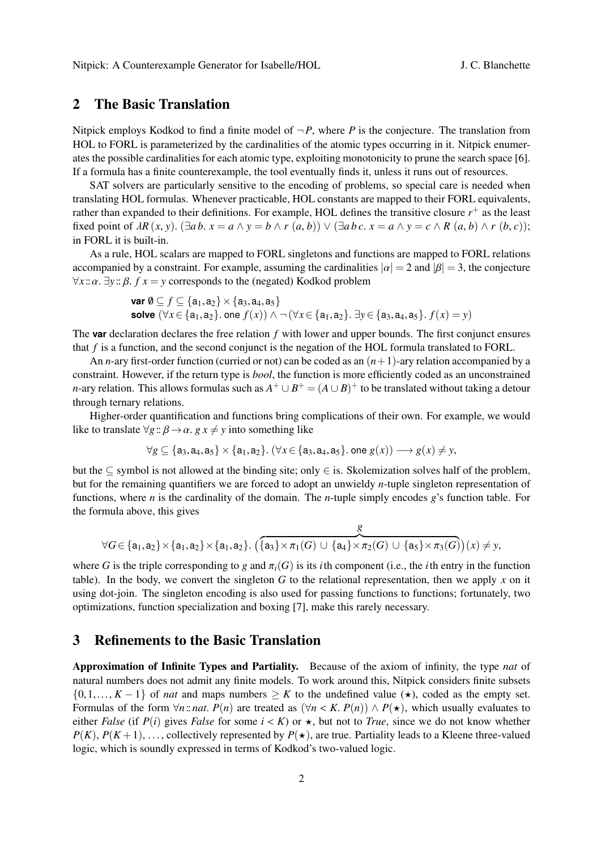# 2 The Basic Translation

Nitpick employs Kodkod to find a finite model of  $\neg P$ , where P is the conjecture. The translation from HOL to FORL is parameterized by the cardinalities of the atomic types occurring in it. Nitpick enumerates the possible cardinalities for each atomic type, exploiting monotonicity to prune the search space [6]. If a formula has a finite counterexample, the tool eventually finds it, unless it runs out of resources.

SAT solvers are particularly sensitive to the encoding of problems, so special care is needed when translating HOL formulas. Whenever practicable, HOL constants are mapped to their FORL equivalents, rather than expanded to their definitions. For example, HOL defines the transitive closure  $r^{+}$  as the least fixed point of  $\lambda R(x, y)$ .  $(\exists a b. x = a \land y = b \land r(a, b)) \lor (\exists a b c. x = a \land y = c \land R(a, b) \land r(b, c))$ ; in FORL it is built-in.

As a rule, HOL scalars are mapped to FORL singletons and functions are mapped to FORL relations accompanied by a constraint. For example, assuming the cardinalities  $|\alpha| = 2$  and  $|\beta| = 3$ , the conjecture  $\forall x$  ::  $\alpha$ .  $\exists y$  ::  $\beta$ .  $f x = y$  corresponds to the (negated) Kodkod problem

> **var**  $\emptyset \subseteq f \subseteq \{a_1, a_2\} \times \{a_3, a_4, a_5\}$ **solve**  $(\forall x \in \{a_1, a_2\}$ . one  $f(x)$ ) ∧  $\neg$   $(\forall x \in \{a_1, a_2\}$ .  $\exists y \in \{a_3, a_4, a_5\}$ .  $f(x) = y$ )

The **var** declaration declares the free relation *f* with lower and upper bounds. The first conjunct ensures that *f* is a function, and the second conjunct is the negation of the HOL formula translated to FORL.

An *n*-ary first-order function (curried or not) can be coded as an (*n*+1)-ary relation accompanied by a constraint. However, if the return type is *bool*, the function is more efficiently coded as an unconstrained *n*-ary relation. This allows formulas such as  $A^+ \cup B^+ = (A \cup B)^+$  to be translated without taking a detour through ternary relations.

Higher-order quantification and functions bring complications of their own. For example, we would like to translate  $\forall g : \beta \rightarrow \alpha$ .  $g x \neq y$  into something like

$$
\forall g \subseteq \{a_3, a_4, a_5\} \times \{a_1, a_2\}. (\forall x \in \{a_3, a_4, a_5\}. \text{ one } g(x)) \longrightarrow g(x) \neq y,
$$

but the ⊂ symbol is not allowed at the binding site; only  $\in$  is. Skolemization solves half of the problem, but for the remaining quantifiers we are forced to adopt an unwieldy *n*-tuple singleton representation of functions, where *n* is the cardinality of the domain. The *n*-tuple simply encodes *g*'s function table. For the formula above, this gives

$$
\forall G \in \{a_1, a_2\} \times \{a_1, a_2\} \times \{a_1, a_2\}. \ (\overbrace{\{a_3\} \times \pi_1(G) \cup \{a_4\} \times \pi_2(G) \cup \{a_5\} \times \pi_3(G)}^{g}(x) \neq y,
$$

where *G* is the triple corresponding to *g* and  $\pi_i(G)$  is its *i*th component (i.e., the *i*th entry in the function table). In the body, we convert the singleton  $G$  to the relational representation, then we apply  $x$  on it using dot-join. The singleton encoding is also used for passing functions to functions; fortunately, two optimizations, function specialization and boxing [7], make this rarely necessary.

# 3 Refinements to the Basic Translation

Approximation of Infinite Types and Partiality. Because of the axiom of infinity, the type *nat* of natural numbers does not admit any finite models. To work around this, Nitpick considers finite subsets  $\{0,1,\ldots,K-1\}$  of *nat* and maps numbers  $\geq K$  to the undefined value ( $\star$ ), coded as the empty set. Formulas of the form  $\forall n$ ::*nat*.  $P(n)$  are treated as  $(\forall n < K$ .  $P(n)) \wedge P(\star)$ , which usually evaluates to either *False* (if  $P(i)$  gives *False* for some  $i < K$ ) or  $\star$ , but not to *True*, since we do not know whether  $P(K), P(K+1), \ldots$ , collectively represented by  $P(\star)$ , are true. Partiality leads to a Kleene three-valued logic, which is soundly expressed in terms of Kodkod's two-valued logic.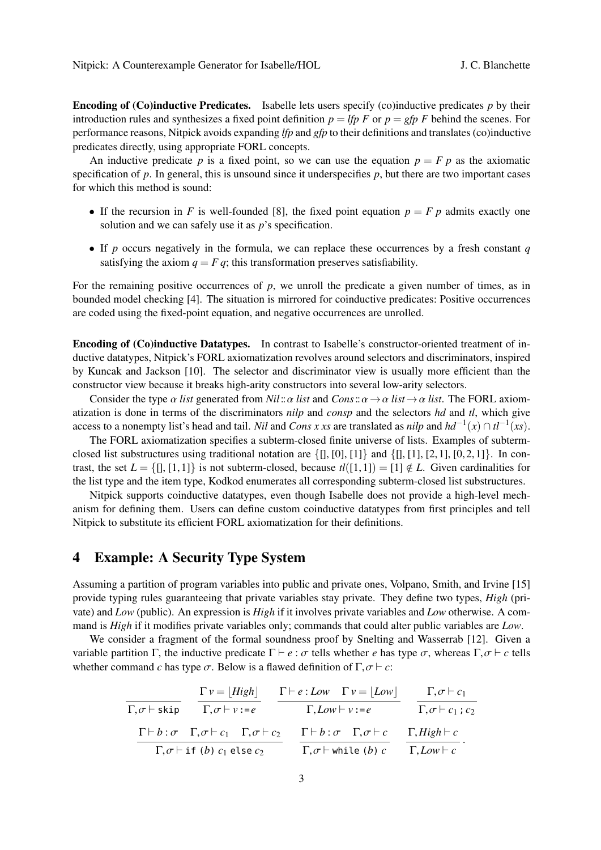Encoding of (Co)inductive Predicates. Isabelle lets users specify (co)inductive predicates *p* by their introduction rules and synthesizes a fixed point definition  $p = \text{If } p \in \mathbb{F}$  or  $p = \text{If } p \in \mathbb{F}$  behind the scenes. For performance reasons, Nitpick avoids expanding *lfp* and *gfp* to their definitions and translates (co)inductive predicates directly, using appropriate FORL concepts.

An inductive predicate *p* is a fixed point, so we can use the equation  $p = F p$  as the axiomatic specification of  $p$ . In general, this is unsound since it underspecifies  $p$ , but there are two important cases for which this method is sound:

- If the recursion in *F* is well-founded [8], the fixed point equation  $p = F p$  admits exactly one solution and we can safely use it as *p*'s specification.
- If *p* occurs negatively in the formula, we can replace these occurrences by a fresh constant *q* satisfying the axiom  $q = F q$ ; this transformation preserves satisfiability.

For the remaining positive occurrences of *p*, we unroll the predicate a given number of times, as in bounded model checking [4]. The situation is mirrored for coinductive predicates: Positive occurrences are coded using the fixed-point equation, and negative occurrences are unrolled.

Encoding of (Co)inductive Datatypes. In contrast to Isabelle's constructor-oriented treatment of inductive datatypes, Nitpick's FORL axiomatization revolves around selectors and discriminators, inspired by Kuncak and Jackson [10]. The selector and discriminator view is usually more efficient than the constructor view because it breaks high-arity constructors into several low-arity selectors.

Consider the type  $\alpha$  *list* generated from *Nil*:: $\alpha$  *list* and *Cons*:: $\alpha \rightarrow \alpha$  *list* $\rightarrow \alpha$  *list*. The FORL axiomatization is done in terms of the discriminators *nilp* and *consp* and the selectors *hd* and *tl*, which give access to a nonempty list's head and tail. *Nil* and *Cons x xs* are translated as *nilp* and  $hd^{-1}(x) \cap tl^{-1}(xs)$ .

The FORL axiomatization specifies a subterm-closed finite universe of lists. Examples of subtermclosed list substructures using traditional notation are  $\{\{\}, [0], [1]\}$  and  $\{\{\}, [1], [2,1], [0,2,1]\}$ . In contrast, the set  $L = \{\parallel, [1,1]\}\$  is not subterm-closed, because  $t\ell([1,1]) = [1] \notin L$ . Given cardinalities for the list type and the item type, Kodkod enumerates all corresponding subterm-closed list substructures.

Nitpick supports coinductive datatypes, even though Isabelle does not provide a high-level mechanism for defining them. Users can define custom coinductive datatypes from first principles and tell Nitpick to substitute its efficient FORL axiomatization for their definitions.

# 4 Example: A Security Type System

Assuming a partition of program variables into public and private ones, Volpano, Smith, and Irvine [15] provide typing rules guaranteeing that private variables stay private. They define two types, *High* (private) and *Low* (public). An expression is *High* if it involves private variables and *Low* otherwise. A command is *High* if it modifies private variables only; commands that could alter public variables are *Low*.

We consider a fragment of the formal soundness proof by Snelting and Wasserrab [12]. Given a variable partition Γ, the inductive predicate  $\Gamma \vdash e : \sigma$  tells whether *e* has type  $\sigma$ , whereas Γ,  $\sigma \vdash c$  tells whether command *c* has type  $\sigma$ . Below is a flawed definition of  $\Gamma$ ,  $\sigma \vdash c$ :

$$
\frac{\Gamma v = [High]}{\Gamma, \sigma \vdash \text{skip}} \quad \frac{\Gamma v = [High]}{\Gamma, \sigma \vdash v := e} \quad \frac{\Gamma \vdash e : Low \quad \Gamma v = [Low]}{\Gamma, Low \vdash v := e} \quad \frac{\Gamma, \sigma \vdash c_1}{\Gamma, \sigma \vdash c_1 : c_2}
$$
\n
$$
\frac{\Gamma \vdash b : \sigma \quad \Gamma, \sigma \vdash c_1 \quad \Gamma, \sigma \vdash c_2}{\Gamma, \sigma \vdash \text{if (b) } c_1 \text{ else } c_2} \quad \frac{\Gamma \vdash b : \sigma \quad \Gamma, \sigma \vdash c}{\Gamma, \sigma \vdash \text{while (b) } c} \quad \frac{\Gamma, High \vdash c}{\Gamma, Low \vdash c}.
$$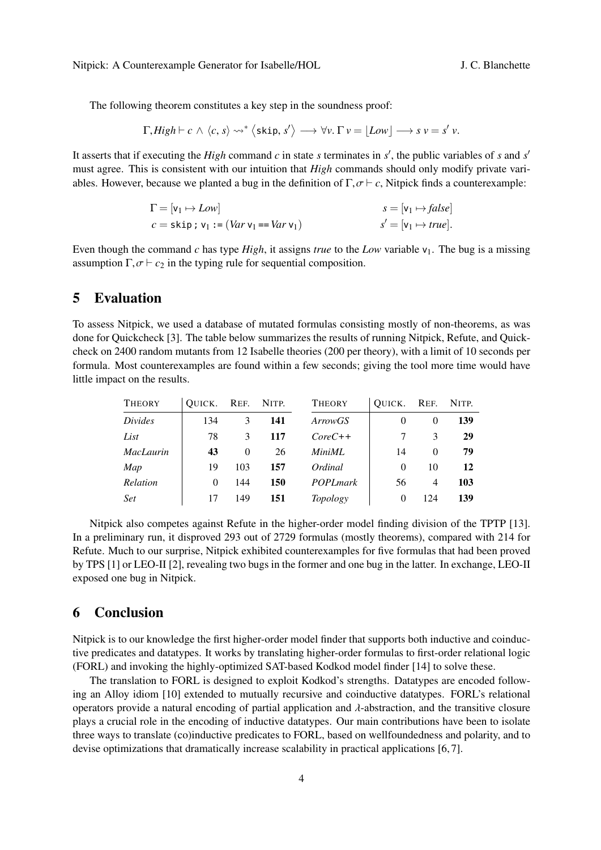The following theorem constitutes a key step in the soundness proof:

$$
\Gamma, High \vdash c \land \langle c, s \rangle \rightsquigarrow^* \langle \text{skip}, s' \rangle \longrightarrow \forall v. \Gamma v = \lfloor Low \rfloor \longrightarrow s v = s' v.
$$

It asserts that if executing the *High* command  $c$  in state  $s$  terminates in  $s'$ , the public variables of  $s$  and  $s'$ must agree. This is consistent with our intuition that *High* commands should only modify private variables. However, because we planted a bug in the definition of  $\Gamma$ ,  $\sigma \vdash c$ . Nitpick finds a counterexample:

$$
\Gamma = [\mathsf{v}_1 \mapsto Low] \qquad \qquad s = [\mathsf{v}_1 \mapsto false] \newline c = \mathsf{skip} \; ; \; \mathsf{v}_1 := (Var \; \mathsf{v}_1 = Var \; \mathsf{v}_1) \qquad \qquad s' = [\mathsf{v}_1 \mapsto true].
$$

Even though the command *c* has type *High*, it assigns *true* to the *Low* variable  $v_1$ . The bug is a missing assumption  $\Gamma$ ,  $\sigma \vdash c_2$  in the typing rule for sequential composition.

#### 5 Evaluation

To assess Nitpick, we used a database of mutated formulas consisting mostly of non-theorems, as was done for Quickcheck [3]. The table below summarizes the results of running Nitpick, Refute, and Quickcheck on 2400 random mutants from 12 Isabelle theories (200 per theory), with a limit of 10 seconds per formula. Most counterexamples are found within a few seconds; giving the tool more time would have little impact on the results.

| <b>THEORY</b>    | QUICK. REF. |          | Nitp. | <b>THEORY</b>   | OUICK.   | Ref.           | NITP. |
|------------------|-------------|----------|-------|-----------------|----------|----------------|-------|
| Divides          | 134         | 3        | 141   | ArrowGS         |          | $\Omega$       | 139   |
| List             | 78          | 3        | 117   | $CoreC++$       |          | 3              | 29    |
| <b>MacLaurin</b> | 43          | $\theta$ | 26    | MiniML          | 14       | 0              | 79    |
| Map              | 19          | 103      | 157   | Ordinal         | $\Omega$ | 10             | 12    |
| Relation         | 0           | 144      | 150   | <b>POPLmark</b> | 56       | $\overline{4}$ | 103   |
| <b>Set</b>       | 17          | 149      | 151   | Topology        |          | 124            | 139   |

Nitpick also competes against Refute in the higher-order model finding division of the TPTP [13]. In a preliminary run, it disproved 293 out of 2729 formulas (mostly theorems), compared with 214 for Refute. Much to our surprise, Nitpick exhibited counterexamples for five formulas that had been proved by TPS [1] or LEO-II [2], revealing two bugs in the former and one bug in the latter. In exchange, LEO-II exposed one bug in Nitpick.

## 6 Conclusion

Nitpick is to our knowledge the first higher-order model finder that supports both inductive and coinductive predicates and datatypes. It works by translating higher-order formulas to first-order relational logic (FORL) and invoking the highly-optimized SAT-based Kodkod model finder [14] to solve these.

The translation to FORL is designed to exploit Kodkod's strengths. Datatypes are encoded following an Alloy idiom [10] extended to mutually recursive and coinductive datatypes. FORL's relational operators provide a natural encoding of partial application and  $\lambda$ -abstraction, and the transitive closure plays a crucial role in the encoding of inductive datatypes. Our main contributions have been to isolate three ways to translate (co)inductive predicates to FORL, based on wellfoundedness and polarity, and to devise optimizations that dramatically increase scalability in practical applications [6, 7].